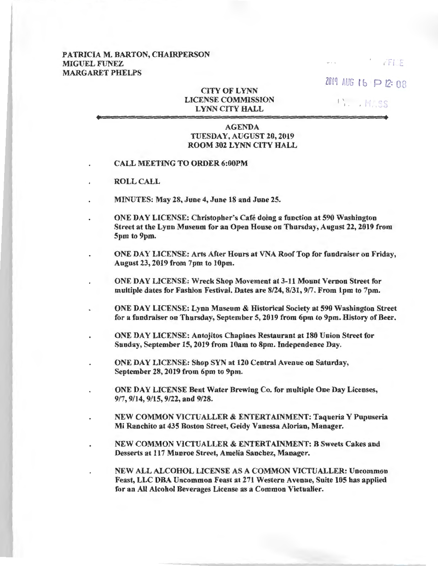## PATRICIA M. BARTON, CHAIRPERSON MIGUEL FUNEZ MARGARET PHELPS

 $2019$  AUG 1 b  $P$  12: 08

FFILE

 $'$  ..., MASS

## **CITY OF LYNN** LICENSE COMMISSION LYNN CITY HALL

## AGENDA TUESDAY, AUGUST 20, 2019 ROOM 302 LYNN CITY HALL

- CALL MEETING TO ORDER 6:00PM
- ROLL CALL
- MINUTES: May 28, June 4, June 18 and June 25.
- ONE DAY LICENSE: Christopher's Cafe doing a function at 590 Washington Street at the Lynn Museum for an Open House on Thursday, August 22, 2019 from 5pm to 9pm.
- ONE DAY LICENSE: Arts After Hours at VNA Roof Top for fundraiser on Friday, August 23, 2019 from 7pm to lOpm.
	- ONE DAY LICENSE: Wreck Shop Movement at 3-11 Mount Vernon Street for multiple dates for Fashion Festival. Dates are 8/24, 8/31, 917. From lpm to 7pm.
- ONE DAY LICENSE: Lynn Museum & Historical Society at 590 Washington Street for a fundraiser on Thursday, September 5, 2019 from 6pm to 9pm. History of Beer.
- ONE DAY LICENSE: Antojitos Chapines Restaurant at 180 Union Street for Sunday, September 15, 2019 from 10am to 8pm. Independence Day.
- ONE DAY LICENSE: Shop SYN at 120 Central Avenue on Saturday, September 28, 2019 from 6pm to 9pm.
	- ONE DAY LICENSE Bent Water Brewing Co. for multiple One Day Licenses, 917, 9/14, 9/15, 9/22, and 9/28.
- NEW COMMON VICTUALLER & ENTERTAINMENT: Taqueria Y Pupuseria Mi Ranchito at 435 Boston Street, Geidy Vanessa Alorian, Manager.
- NEW COMMON VICTUALLER & ENTERTAINMENT: B Sweets Cakes and Desserts at 117 Munroe Street, Amelia Sanchez, Manager.
	- NEW ALL ALCOHOL LICENSE AS A COMMON VICTUALLER: Uncommon Feast, LLC DBA Uncommon Feast at 271 Western Avenue, Suite 105 has applied for an All Alcohol Beverages License as a Common Victualler.